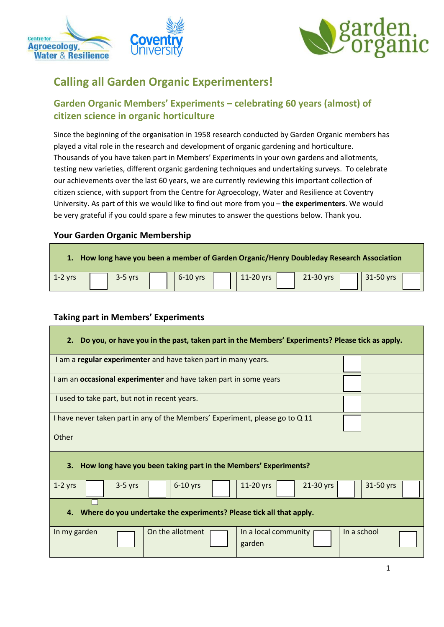



# **Calling all Garden Organic Experimenters!**

# **Garden Organic Members' Experiments – celebrating 60 years (almost) of citizen science in organic horticulture**

Since the beginning of the organisation in 1958 research conducted by Garden Organic members has played a vital role in the research and development of organic gardening and horticulture. Thousands of you have taken part in Members' Experiments in your own gardens and allotments, testing new varieties, different organic gardening techniques and undertaking surveys. To celebrate our achievements over the last 60 years, we are currently reviewing this important collection of citizen science, with support from the Centre for Agroecology, Water and Resilience at Coventry University. As part of this we would like to find out more from you – **the experimenters**. We would be very grateful if you could spare a few minutes to answer the questions below. Thank you.

## **Your Garden Organic Membership**

| 1. How long have you been a member of Garden Organic/Henry Doubleday Research Association |  |           |  |            |  |             |  |           |  |           |  |
|-------------------------------------------------------------------------------------------|--|-----------|--|------------|--|-------------|--|-----------|--|-----------|--|
| $\vert$ 1-2 vrs                                                                           |  | $3-5$ yrs |  | $6-10$ vrs |  | $11-20$ vrs |  | 21-30 yrs |  | 31-50 yrs |  |

### **Taking part in Members' Experiments**

#### **2. Do you, or have you in the past, taken part in the Members' Experiments? Please tick as apply.**

| I am a regular experimenter and have taken part in many years.               |             |  |  |  |  |
|------------------------------------------------------------------------------|-------------|--|--|--|--|
| I am an occasional experimenter and have taken part in some years            |             |  |  |  |  |
| I used to take part, but not in recent years.                                |             |  |  |  |  |
| I have never taken part in any of the Members' Experiment, please go to Q 11 |             |  |  |  |  |
| Other                                                                        |             |  |  |  |  |
| How long have you been taking part in the Members' Experiments?<br>3.        |             |  |  |  |  |
| 21-30 yrs<br>$1-2$ yrs<br>$6-10$ yrs<br>11-20 yrs<br>$3-5$ yrs               | 31-50 yrs   |  |  |  |  |
| Where do you undertake the experiments? Please tick all that apply.<br>4.    |             |  |  |  |  |
| On the allotment<br>In a local community<br>In my garden<br>garden           | In a school |  |  |  |  |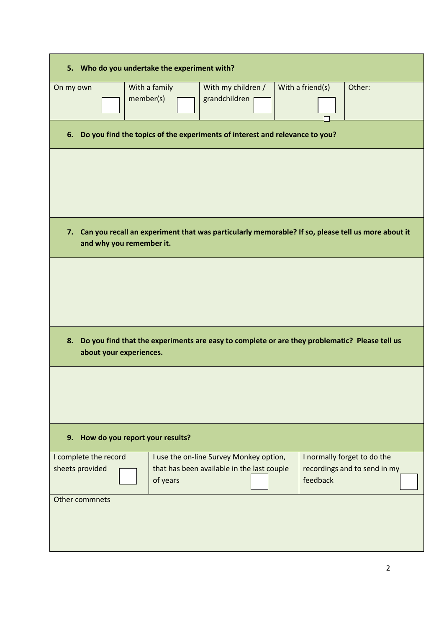| 5. Who do you undertake the experiment with?                                                         |                         |                                                                                               |                  |                              |  |  |  |
|------------------------------------------------------------------------------------------------------|-------------------------|-----------------------------------------------------------------------------------------------|------------------|------------------------------|--|--|--|
| On my own                                                                                            | With a family           | With my children /                                                                            | With a friend(s) | Other:                       |  |  |  |
|                                                                                                      | member(s)               | grandchildren                                                                                 |                  |                              |  |  |  |
|                                                                                                      |                         |                                                                                               |                  |                              |  |  |  |
|                                                                                                      |                         |                                                                                               |                  |                              |  |  |  |
| 6. Do you find the topics of the experiments of interest and relevance to you?                       |                         |                                                                                               |                  |                              |  |  |  |
|                                                                                                      |                         |                                                                                               |                  |                              |  |  |  |
|                                                                                                      |                         |                                                                                               |                  |                              |  |  |  |
|                                                                                                      |                         |                                                                                               |                  |                              |  |  |  |
|                                                                                                      |                         |                                                                                               |                  |                              |  |  |  |
|                                                                                                      |                         |                                                                                               |                  |                              |  |  |  |
|                                                                                                      |                         |                                                                                               |                  |                              |  |  |  |
|                                                                                                      |                         |                                                                                               |                  |                              |  |  |  |
| 7. Can you recall an experiment that was particularly memorable? If so, please tell us more about it |                         |                                                                                               |                  |                              |  |  |  |
| and why you remember it.                                                                             |                         |                                                                                               |                  |                              |  |  |  |
|                                                                                                      |                         |                                                                                               |                  |                              |  |  |  |
|                                                                                                      |                         |                                                                                               |                  |                              |  |  |  |
|                                                                                                      |                         |                                                                                               |                  |                              |  |  |  |
|                                                                                                      |                         |                                                                                               |                  |                              |  |  |  |
|                                                                                                      |                         |                                                                                               |                  |                              |  |  |  |
|                                                                                                      |                         |                                                                                               |                  |                              |  |  |  |
|                                                                                                      |                         |                                                                                               |                  |                              |  |  |  |
| 8.                                                                                                   |                         | Do you find that the experiments are easy to complete or are they problematic? Please tell us |                  |                              |  |  |  |
|                                                                                                      |                         |                                                                                               |                  |                              |  |  |  |
|                                                                                                      | about your experiences. |                                                                                               |                  |                              |  |  |  |
|                                                                                                      |                         |                                                                                               |                  |                              |  |  |  |
|                                                                                                      |                         |                                                                                               |                  |                              |  |  |  |
|                                                                                                      |                         |                                                                                               |                  |                              |  |  |  |
|                                                                                                      |                         |                                                                                               |                  |                              |  |  |  |
|                                                                                                      |                         |                                                                                               |                  |                              |  |  |  |
|                                                                                                      |                         |                                                                                               |                  |                              |  |  |  |
| How do you report your results?<br>9.                                                                |                         |                                                                                               |                  |                              |  |  |  |
|                                                                                                      |                         |                                                                                               |                  |                              |  |  |  |
| I complete the record                                                                                |                         | I use the on-line Survey Monkey option,                                                       |                  | I normally forget to do the  |  |  |  |
| sheets provided                                                                                      |                         | that has been available in the last couple                                                    |                  | recordings and to send in my |  |  |  |
|                                                                                                      | of years                |                                                                                               | feedback         |                              |  |  |  |
| Other commnets                                                                                       |                         |                                                                                               |                  |                              |  |  |  |
|                                                                                                      |                         |                                                                                               |                  |                              |  |  |  |
|                                                                                                      |                         |                                                                                               |                  |                              |  |  |  |
|                                                                                                      |                         |                                                                                               |                  |                              |  |  |  |
|                                                                                                      |                         |                                                                                               |                  |                              |  |  |  |
|                                                                                                      |                         |                                                                                               |                  |                              |  |  |  |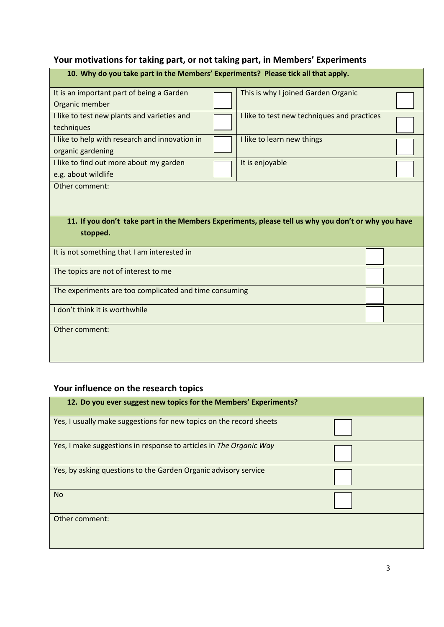# **Your motivations for taking part, or not taking part, in Members' Experiments**

| 10. Why do you take part in the Members' Experiments? Please tick all that apply.                               |  |                                             |  |  |  |
|-----------------------------------------------------------------------------------------------------------------|--|---------------------------------------------|--|--|--|
| It is an important part of being a Garden                                                                       |  | This is why I joined Garden Organic         |  |  |  |
| Organic member                                                                                                  |  |                                             |  |  |  |
| I like to test new plants and varieties and<br>techniques                                                       |  | I like to test new techniques and practices |  |  |  |
| I like to help with research and innovation in<br>organic gardening                                             |  | I like to learn new things                  |  |  |  |
| I like to find out more about my garden<br>It is enjoyable<br>e.g. about wildlife                               |  |                                             |  |  |  |
| Other comment:                                                                                                  |  |                                             |  |  |  |
| 11. If you don't take part in the Members Experiments, please tell us why you don't or why you have<br>stopped. |  |                                             |  |  |  |
| It is not something that I am interested in                                                                     |  |                                             |  |  |  |
| The topics are not of interest to me                                                                            |  |                                             |  |  |  |
| The experiments are too complicated and time consuming                                                          |  |                                             |  |  |  |
| I don't think it is worthwhile                                                                                  |  |                                             |  |  |  |
| Other comment:                                                                                                  |  |                                             |  |  |  |

# **Your influence on the research topics**

| 12. Do you ever suggest new topics for the Members' Experiments?    |  |
|---------------------------------------------------------------------|--|
| Yes, I usually make suggestions for new topics on the record sheets |  |
| Yes, I make suggestions in response to articles in The Organic Way  |  |
| Yes, by asking questions to the Garden Organic advisory service     |  |
| <b>No</b>                                                           |  |
| Other comment:                                                      |  |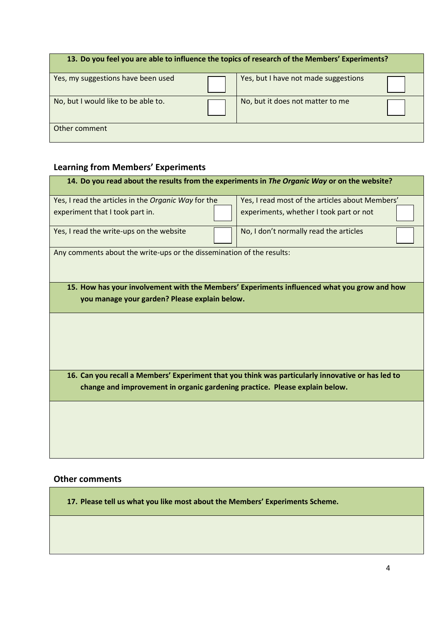| 13. Do you feel you are able to influence the topics of research of the Members' Experiments? |  |                                      |  |  |  |
|-----------------------------------------------------------------------------------------------|--|--------------------------------------|--|--|--|
| Yes, my suggestions have been used                                                            |  | Yes, but I have not made suggestions |  |  |  |
| No, but I would like to be able to.                                                           |  | No, but it does not matter to me     |  |  |  |
| Other comment                                                                                 |  |                                      |  |  |  |

# **Learning from Members' Experiments**

| 14. Do you read about the results from the experiments in The Organic Way or on the website?                                                 |  |                                                                                                   |  |  |  |
|----------------------------------------------------------------------------------------------------------------------------------------------|--|---------------------------------------------------------------------------------------------------|--|--|--|
| Yes, I read the articles in the Organic Way for the                                                                                          |  | Yes, I read most of the articles about Members'                                                   |  |  |  |
| experiment that I took part in.                                                                                                              |  | experiments, whether I took part or not                                                           |  |  |  |
| Yes, I read the write-ups on the website                                                                                                     |  | No, I don't normally read the articles                                                            |  |  |  |
| Any comments about the write-ups or the dissemination of the results:                                                                        |  |                                                                                                   |  |  |  |
| 15. How has your involvement with the Members' Experiments influenced what you grow and how<br>you manage your garden? Please explain below. |  |                                                                                                   |  |  |  |
|                                                                                                                                              |  |                                                                                                   |  |  |  |
|                                                                                                                                              |  | 16. Can you recall a Members' Experiment that you think was particularly innovative or has led to |  |  |  |
| change and improvement in organic gardening practice. Please explain below.                                                                  |  |                                                                                                   |  |  |  |
|                                                                                                                                              |  |                                                                                                   |  |  |  |
|                                                                                                                                              |  |                                                                                                   |  |  |  |

## **Other comments**

**17. Please tell us what you like most about the Members' Experiments Scheme.**